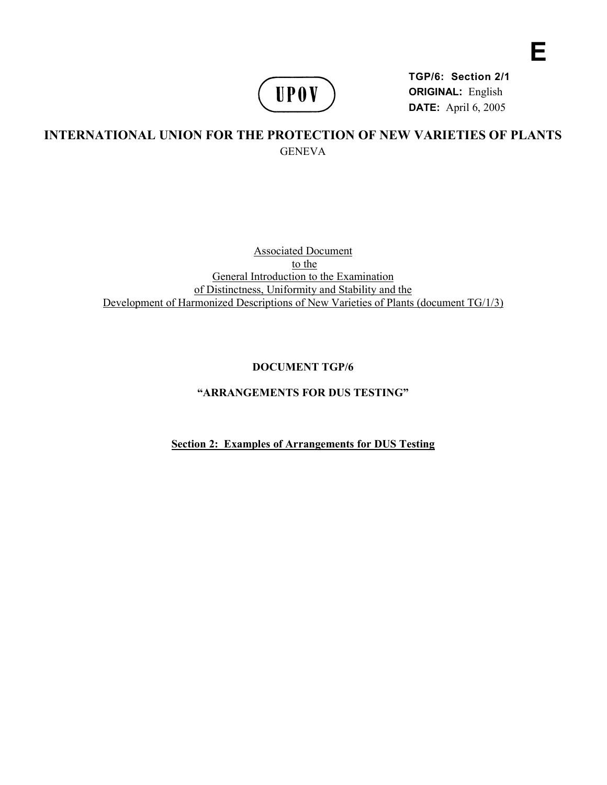

**TGP/6: Section 2/1 ORIGINAL:** English **DATE:** April 6, 2005

**E** 

# **INTERNATIONAL UNION FOR THE PROTECTION OF NEW VARIETIES OF PLANTS GENEVA**

Associated Document to the General Introduction to the Examination of Distinctness, Uniformity and Stability and the Development of Harmonized Descriptions of New Varieties of Plants (document TG/1/3)

## **DOCUMENT TGP/6**

## **"ARRANGEMENTS FOR DUS TESTING"**

**Section 2: Examples of Arrangements for DUS Testing**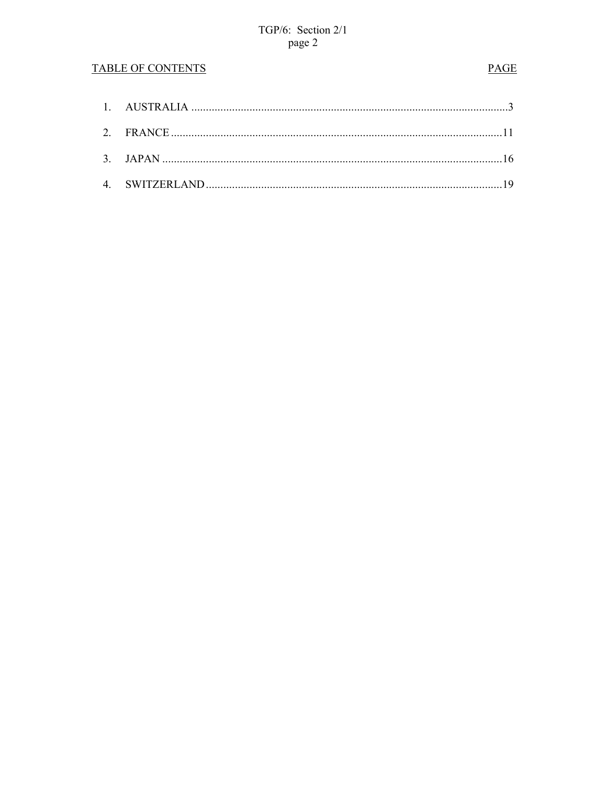## **TABLE OF CONTENTS**

## **PAGE**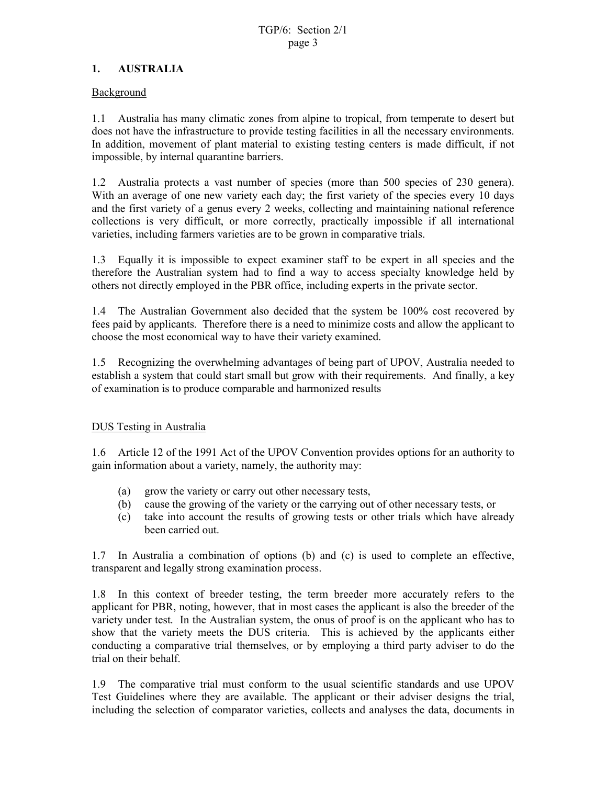### **1. AUSTRALIA**

### Background

1.1 Australia has many climatic zones from alpine to tropical, from temperate to desert but does not have the infrastructure to provide testing facilities in all the necessary environments. In addition, movement of plant material to existing testing centers is made difficult, if not impossible, by internal quarantine barriers.

1.2 Australia protects a vast number of species (more than 500 species of 230 genera). With an average of one new variety each day; the first variety of the species every 10 days and the first variety of a genus every 2 weeks, collecting and maintaining national reference collections is very difficult, or more correctly, practically impossible if all international varieties, including farmers varieties are to be grown in comparative trials.

1.3 Equally it is impossible to expect examiner staff to be expert in all species and the therefore the Australian system had to find a way to access specialty knowledge held by others not directly employed in the PBR office, including experts in the private sector.

1.4 The Australian Government also decided that the system be 100% cost recovered by fees paid by applicants. Therefore there is a need to minimize costs and allow the applicant to choose the most economical way to have their variety examined.

1.5 Recognizing the overwhelming advantages of being part of UPOV, Australia needed to establish a system that could start small but grow with their requirements. And finally, a key of examination is to produce comparable and harmonized results

### DUS Testing in Australia

1.6 Article 12 of the 1991 Act of the UPOV Convention provides options for an authority to gain information about a variety, namely, the authority may:

- (a) grow the variety or carry out other necessary tests,
- (b) cause the growing of the variety or the carrying out of other necessary tests, or
- (c) take into account the results of growing tests or other trials which have already been carried out.

1.7 In Australia a combination of options (b) and (c) is used to complete an effective, transparent and legally strong examination process.

1.8 In this context of breeder testing, the term breeder more accurately refers to the applicant for PBR, noting, however, that in most cases the applicant is also the breeder of the variety under test. In the Australian system, the onus of proof is on the applicant who has to show that the variety meets the DUS criteria. This is achieved by the applicants either conducting a comparative trial themselves, or by employing a third party adviser to do the trial on their behalf.

1.9 The comparative trial must conform to the usual scientific standards and use UPOV Test Guidelines where they are available. The applicant or their adviser designs the trial, including the selection of comparator varieties, collects and analyses the data, documents in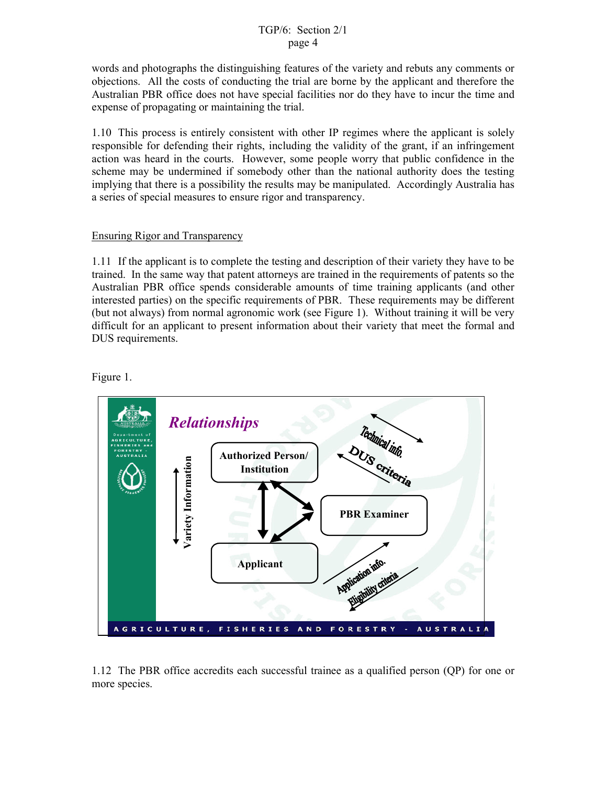words and photographs the distinguishing features of the variety and rebuts any comments or objections. All the costs of conducting the trial are borne by the applicant and therefore the Australian PBR office does not have special facilities nor do they have to incur the time and expense of propagating or maintaining the trial.

1.10 This process is entirely consistent with other IP regimes where the applicant is solely responsible for defending their rights, including the validity of the grant, if an infringement action was heard in the courts. However, some people worry that public confidence in the scheme may be undermined if somebody other than the national authority does the testing implying that there is a possibility the results may be manipulated. Accordingly Australia has a series of special measures to ensure rigor and transparency.

#### Ensuring Rigor and Transparency

1.11 If the applicant is to complete the testing and description of their variety they have to be trained. In the same way that patent attorneys are trained in the requirements of patents so the Australian PBR office spends considerable amounts of time training applicants (and other interested parties) on the specific requirements of PBR. These requirements may be different (but not always) from normal agronomic work (see Figure 1). Without training it will be very difficult for an applicant to present information about their variety that meet the formal and DUS requirements.

Figure 1.



1.12 The PBR office accredits each successful trainee as a qualified person (QP) for one or more species.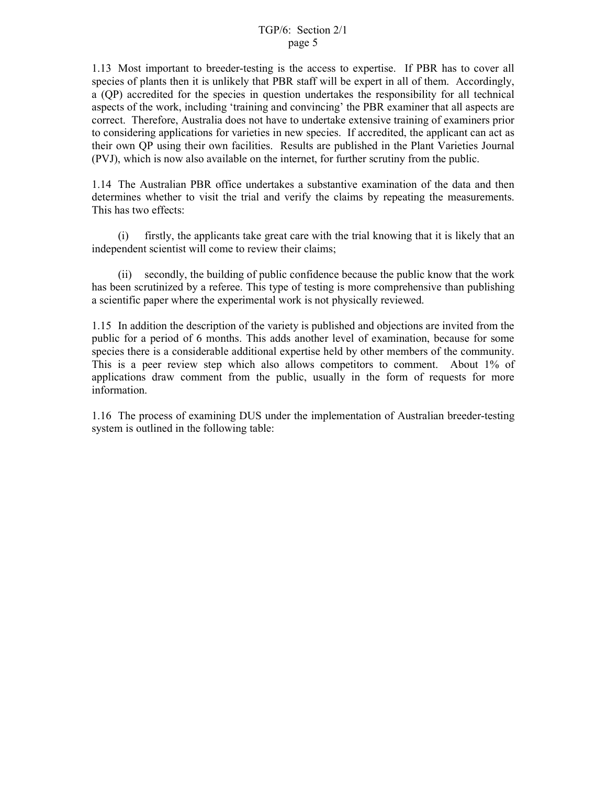1.13 Most important to breeder-testing is the access to expertise. If PBR has to cover all species of plants then it is unlikely that PBR staff will be expert in all of them. Accordingly, a (QP) accredited for the species in question undertakes the responsibility for all technical aspects of the work, including 'training and convincing' the PBR examiner that all aspects are correct. Therefore, Australia does not have to undertake extensive training of examiners prior to considering applications for varieties in new species. If accredited, the applicant can act as their own QP using their own facilities. Results are published in the Plant Varieties Journal (PVJ), which is now also available on the internet, for further scrutiny from the public.

1.14 The Australian PBR office undertakes a substantive examination of the data and then determines whether to visit the trial and verify the claims by repeating the measurements. This has two effects:

 (i) firstly, the applicants take great care with the trial knowing that it is likely that an independent scientist will come to review their claims;

 (ii) secondly, the building of public confidence because the public know that the work has been scrutinized by a referee. This type of testing is more comprehensive than publishing a scientific paper where the experimental work is not physically reviewed.

1.15 In addition the description of the variety is published and objections are invited from the public for a period of 6 months. This adds another level of examination, because for some species there is a considerable additional expertise held by other members of the community. This is a peer review step which also allows competitors to comment. About 1% of applications draw comment from the public, usually in the form of requests for more information.

1.16 The process of examining DUS under the implementation of Australian breeder-testing system is outlined in the following table: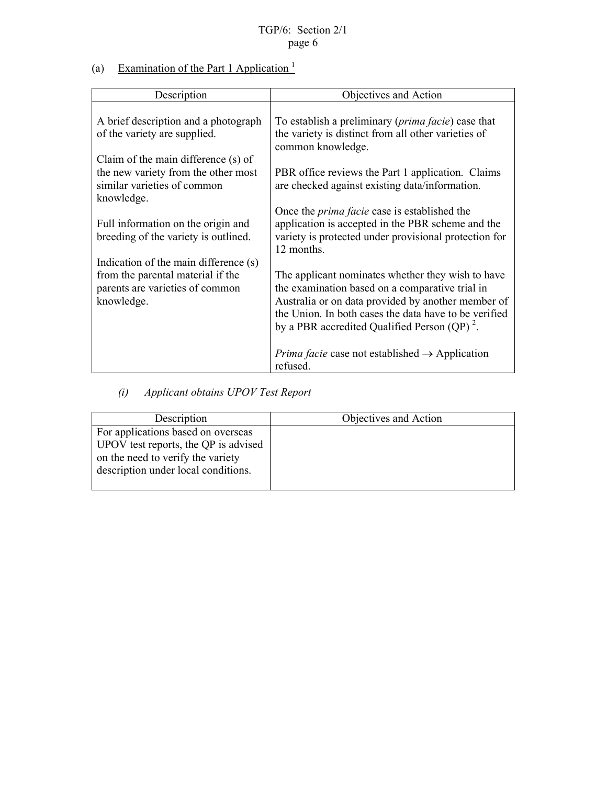(a) Examination of the Part 1 Application  $\frac{1}{1}$ 

| Description                                                                                                                 | Objectives and Action                                                                                                                                                                                                                                                           |
|-----------------------------------------------------------------------------------------------------------------------------|---------------------------------------------------------------------------------------------------------------------------------------------------------------------------------------------------------------------------------------------------------------------------------|
| A brief description and a photograph<br>of the variety are supplied.                                                        | To establish a preliminary ( <i>prima facie</i> ) case that<br>the variety is distinct from all other varieties of<br>common knowledge.                                                                                                                                         |
| Claim of the main difference (s) of<br>the new variety from the other most<br>similar varieties of common<br>knowledge.     | PBR office reviews the Part 1 application. Claims<br>are checked against existing data/information.                                                                                                                                                                             |
| Full information on the origin and<br>breeding of the variety is outlined.                                                  | Once the <i>prima facie</i> case is established the<br>application is accepted in the PBR scheme and the<br>variety is protected under provisional protection for<br>12 months.                                                                                                 |
| Indication of the main difference (s)<br>from the parental material if the<br>parents are varieties of common<br>knowledge. | The applicant nominates whether they wish to have<br>the examination based on a comparative trial in<br>Australia or on data provided by another member of<br>the Union. In both cases the data have to be verified<br>by a PBR accredited Qualified Person (QP) <sup>2</sup> . |
|                                                                                                                             | <i>Prima facie</i> case not established $\rightarrow$ Application<br>refused.                                                                                                                                                                                                   |

 *(i) Applicant obtains UPOV Test Report* 

| Description                                                                                                                                            | Objectives and Action |
|--------------------------------------------------------------------------------------------------------------------------------------------------------|-----------------------|
| For applications based on overseas<br>UPOV test reports, the QP is advised<br>on the need to verify the variety<br>description under local conditions. |                       |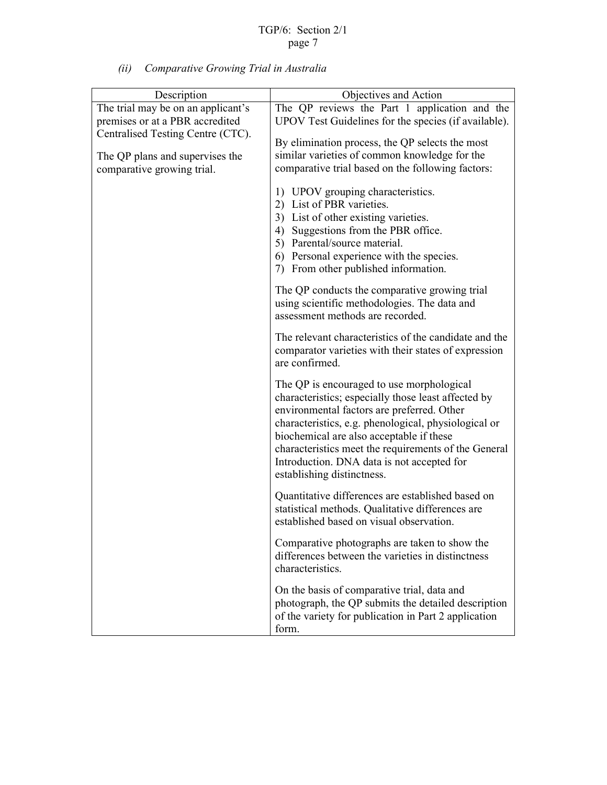*(ii) Comparative Growing Trial in Australia* 

| Description                        | Objectives and Action                                                                            |
|------------------------------------|--------------------------------------------------------------------------------------------------|
| The trial may be on an applicant's | The QP reviews the Part 1 application and the                                                    |
| premises or at a PBR accredited    | UPOV Test Guidelines for the species (if available).                                             |
| Centralised Testing Centre (CTC).  | By elimination process, the QP selects the most                                                  |
| The QP plans and supervises the    | similar varieties of common knowledge for the                                                    |
|                                    | comparative trial based on the following factors:                                                |
| comparative growing trial.         |                                                                                                  |
|                                    | 1) UPOV grouping characteristics.                                                                |
|                                    | 2) List of PBR varieties.                                                                        |
|                                    | 3) List of other existing varieties.                                                             |
|                                    | 4) Suggestions from the PBR office.                                                              |
|                                    | 5) Parental/source material.                                                                     |
|                                    | 6) Personal experience with the species.                                                         |
|                                    | 7) From other published information.                                                             |
|                                    |                                                                                                  |
|                                    | The QP conducts the comparative growing trial                                                    |
|                                    | using scientific methodologies. The data and                                                     |
|                                    | assessment methods are recorded.                                                                 |
|                                    | The relevant characteristics of the candidate and the                                            |
|                                    | comparator varieties with their states of expression                                             |
|                                    | are confirmed.                                                                                   |
|                                    |                                                                                                  |
|                                    | The QP is encouraged to use morphological<br>characteristics; especially those least affected by |
|                                    | environmental factors are preferred. Other                                                       |
|                                    | characteristics, e.g. phenological, physiological or                                             |
|                                    | biochemical are also acceptable if these                                                         |
|                                    | characteristics meet the requirements of the General                                             |
|                                    | Introduction. DNA data is not accepted for                                                       |
|                                    | establishing distinctness.                                                                       |
|                                    |                                                                                                  |
|                                    | Quantitative differences are established based on                                                |
|                                    | statistical methods. Qualitative differences are                                                 |
|                                    | established based on visual observation.                                                         |
|                                    | Comparative photographs are taken to show the                                                    |
|                                    | differences between the varieties in distinctness                                                |
|                                    | characteristics.                                                                                 |
|                                    |                                                                                                  |
|                                    | On the basis of comparative trial, data and                                                      |
|                                    | photograph, the QP submits the detailed description                                              |
|                                    | of the variety for publication in Part 2 application                                             |
|                                    | form.                                                                                            |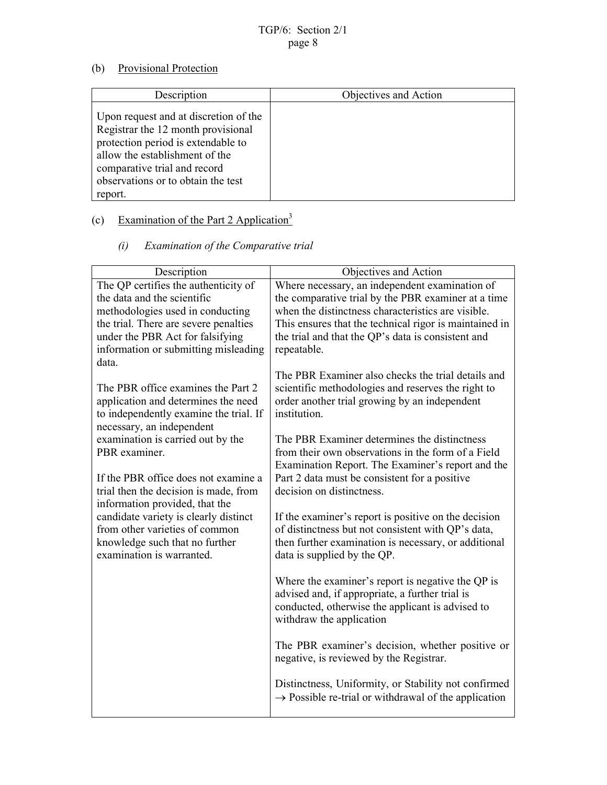## (b) Provisional Protection

| Description                                                                                                                                                                                                                          | Objectives and Action |
|--------------------------------------------------------------------------------------------------------------------------------------------------------------------------------------------------------------------------------------|-----------------------|
| Upon request and at discretion of the<br>Registrar the 12 month provisional<br>protection period is extendable to<br>allow the establishment of the<br>comparative trial and record<br>observations or to obtain the test<br>report. |                       |

# (c) Examination of the Part 2 Application<sup>3</sup>

## *(i) Examination of the Comparative trial*

| Description                                   | Objectives and Action                                                                              |
|-----------------------------------------------|----------------------------------------------------------------------------------------------------|
| The QP certifies the authenticity of          | Where necessary, an independent examination of                                                     |
| the data and the scientific                   | the comparative trial by the PBR examiner at a time                                                |
| methodologies used in conducting              | when the distinctness characteristics are visible.                                                 |
| the trial. There are severe penalties         | This ensures that the technical rigor is maintained in                                             |
| under the PBR Act for falsifying              | the trial and that the QP's data is consistent and                                                 |
| information or submitting misleading<br>data. | repeatable.                                                                                        |
|                                               | The PBR Examiner also checks the trial details and                                                 |
| The PBR office examines the Part 2            | scientific methodologies and reserves the right to                                                 |
| application and determines the need           | order another trial growing by an independent                                                      |
| to independently examine the trial. If        | institution.                                                                                       |
| necessary, an independent                     |                                                                                                    |
| examination is carried out by the             | The PBR Examiner determines the distinctness                                                       |
| PBR examiner.                                 | from their own observations in the form of a Field                                                 |
| If the PBR office does not examine a          | Examination Report. The Examiner's report and the<br>Part 2 data must be consistent for a positive |
| trial then the decision is made, from         | decision on distinctness.                                                                          |
| information provided, that the                |                                                                                                    |
| candidate variety is clearly distinct         | If the examiner's report is positive on the decision                                               |
| from other varieties of common                | of distinctness but not consistent with QP's data,                                                 |
| knowledge such that no further                | then further examination is necessary, or additional                                               |
| examination is warranted.                     | data is supplied by the QP.                                                                        |
|                                               | Where the examiner's report is negative the QP is                                                  |
|                                               | advised and, if appropriate, a further trial is                                                    |
|                                               | conducted, otherwise the applicant is advised to                                                   |
|                                               | withdraw the application                                                                           |
|                                               |                                                                                                    |
|                                               | The PBR examiner's decision, whether positive or                                                   |
|                                               | negative, is reviewed by the Registrar.                                                            |
|                                               | Distinctness, Uniformity, or Stability not confirmed                                               |
|                                               | $\rightarrow$ Possible re-trial or withdrawal of the application                                   |
|                                               |                                                                                                    |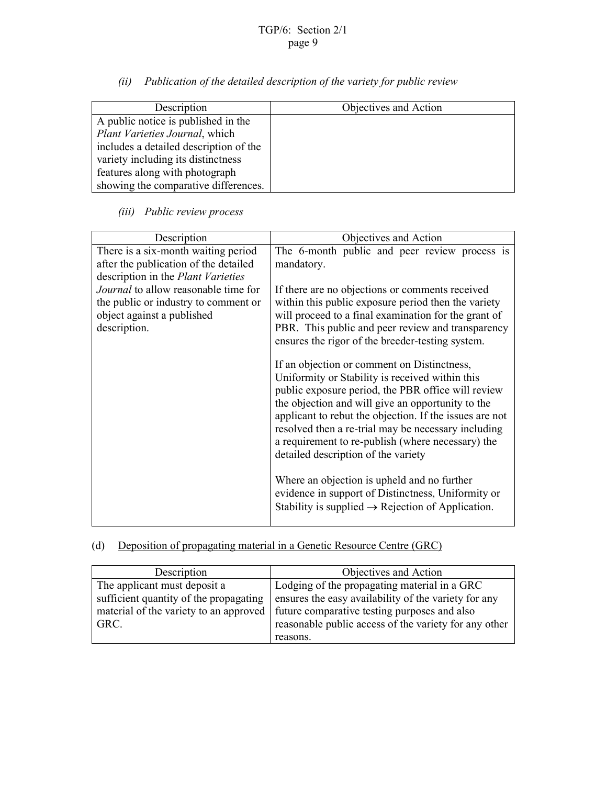*(ii) Publication of the detailed description of the variety for public review* 

| Description                            | Objectives and Action |
|----------------------------------------|-----------------------|
| A public notice is published in the    |                       |
| Plant Varieties Journal, which         |                       |
| includes a detailed description of the |                       |
| variety including its distinctness     |                       |
| features along with photograph         |                       |
| showing the comparative differences.   |                       |

## *(iii) Public review process*

| Description                                                                                                                       | Objectives and Action                                                                                                                                                                                                                                                                                                                                                                                                   |
|-----------------------------------------------------------------------------------------------------------------------------------|-------------------------------------------------------------------------------------------------------------------------------------------------------------------------------------------------------------------------------------------------------------------------------------------------------------------------------------------------------------------------------------------------------------------------|
| There is a six-month waiting period<br>after the publication of the detailed<br>description in the Plant Varieties                | The 6-month public and peer review process is<br>mandatory.                                                                                                                                                                                                                                                                                                                                                             |
| <i>Journal</i> to allow reasonable time for<br>the public or industry to comment or<br>object against a published<br>description. | If there are no objections or comments received<br>within this public exposure period then the variety<br>will proceed to a final examination for the grant of<br>PBR. This public and peer review and transparency<br>ensures the rigor of the breeder-testing system.                                                                                                                                                 |
|                                                                                                                                   | If an objection or comment on Distinctness,<br>Uniformity or Stability is received within this<br>public exposure period, the PBR office will review<br>the objection and will give an opportunity to the<br>applicant to rebut the objection. If the issues are not<br>resolved then a re-trial may be necessary including<br>a requirement to re-publish (where necessary) the<br>detailed description of the variety |
|                                                                                                                                   | Where an objection is upheld and no further<br>evidence in support of Distinctness, Uniformity or<br>Stability is supplied $\rightarrow$ Rejection of Application.                                                                                                                                                                                                                                                      |

## (d) Deposition of propagating material in a Genetic Resource Centre (GRC)

| Description                            | Objectives and Action                                 |
|----------------------------------------|-------------------------------------------------------|
| The applicant must deposit a           | Lodging of the propagating material in a GRC          |
| sufficient quantity of the propagating | ensures the easy availability of the variety for any  |
| material of the variety to an approved | future comparative testing purposes and also          |
| GRC.                                   | reasonable public access of the variety for any other |
|                                        | reasons.                                              |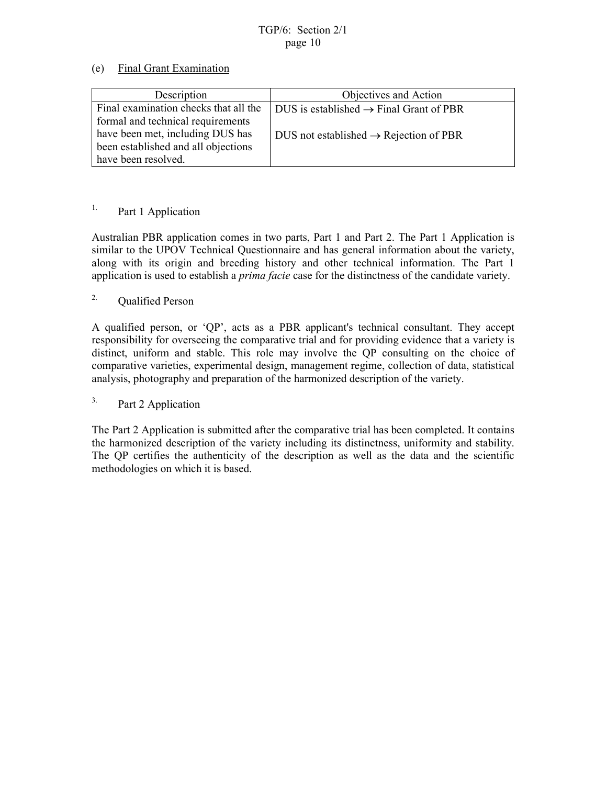### (e) Final Grant Examination

| Description                           | Objectives and Action                               |
|---------------------------------------|-----------------------------------------------------|
| Final examination checks that all the | DUS is established $\rightarrow$ Final Grant of PBR |
| formal and technical requirements     |                                                     |
| have been met, including DUS has      | DUS not established $\rightarrow$ Rejection of PBR  |
| been established and all objections   |                                                     |
| have been resolved.                   |                                                     |

## <sup>1.</sup> Part 1 Application

Australian PBR application comes in two parts, Part 1 and Part 2. The Part 1 Application is similar to the UPOV Technical Questionnaire and has general information about the variety, along with its origin and breeding history and other technical information. The Part 1 application is used to establish a *prima facie* case for the distinctness of the candidate variety.

### 2. Qualified Person

A qualified person, or 'QP', acts as a PBR applicant's technical consultant. They accept responsibility for overseeing the comparative trial and for providing evidence that a variety is distinct, uniform and stable. This role may involve the QP consulting on the choice of comparative varieties, experimental design, management regime, collection of data, statistical analysis, photography and preparation of the harmonized description of the variety.

## 3. Part 2 Application

The Part 2 Application is submitted after the comparative trial has been completed. It contains the harmonized description of the variety including its distinctness, uniformity and stability. The QP certifies the authenticity of the description as well as the data and the scientific methodologies on which it is based.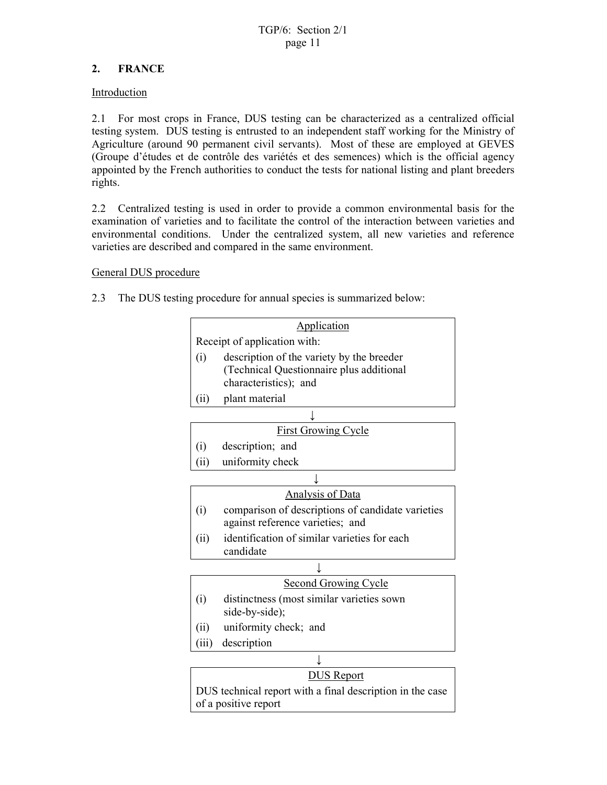## **2. FRANCE**

### Introduction

2.1 For most crops in France, DUS testing can be characterized as a centralized official testing system. DUS testing is entrusted to an independent staff working for the Ministry of Agriculture (around 90 permanent civil servants). Most of these are employed at GEVES (Groupe d'études et de contrôle des variétés et des semences) which is the official agency appointed by the French authorities to conduct the tests for national listing and plant breeders rights.

2.2 Centralized testing is used in order to provide a common environmental basis for the examination of varieties and to facilitate the control of the interaction between varieties and environmental conditions. Under the centralized system, all new varieties and reference varieties are described and compared in the same environment.

### General DUS procedure

2.3 The DUS testing procedure for annual species is summarized below:

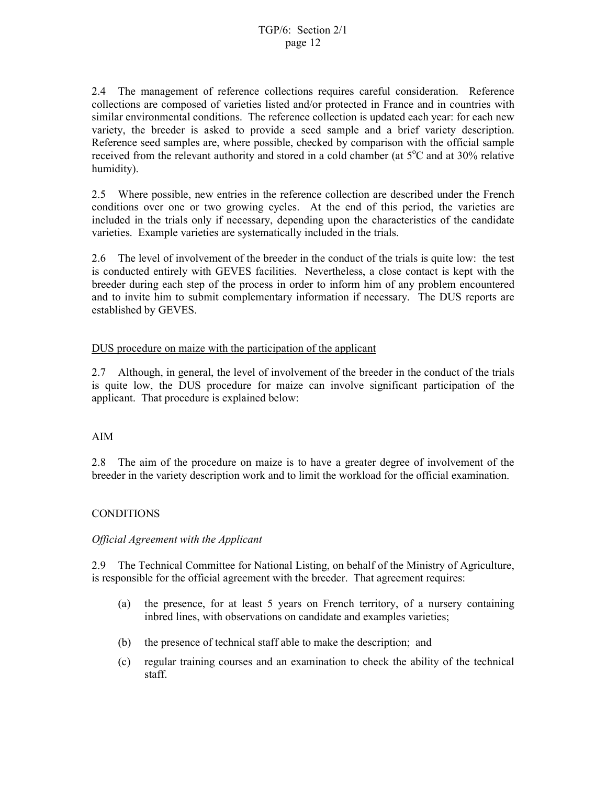2.4 The management of reference collections requires careful consideration. Reference collections are composed of varieties listed and/or protected in France and in countries with similar environmental conditions. The reference collection is updated each year: for each new variety, the breeder is asked to provide a seed sample and a brief variety description. Reference seed samples are, where possible, checked by comparison with the official sample received from the relevant authority and stored in a cold chamber (at  $5^{\circ}$ C and at 30% relative humidity).

2.5 Where possible, new entries in the reference collection are described under the French conditions over one or two growing cycles. At the end of this period, the varieties are included in the trials only if necessary, depending upon the characteristics of the candidate varieties. Example varieties are systematically included in the trials.

2.6 The level of involvement of the breeder in the conduct of the trials is quite low: the test is conducted entirely with GEVES facilities. Nevertheless, a close contact is kept with the breeder during each step of the process in order to inform him of any problem encountered and to invite him to submit complementary information if necessary. The DUS reports are established by GEVES.

### DUS procedure on maize with the participation of the applicant

2.7 Although, in general, the level of involvement of the breeder in the conduct of the trials is quite low, the DUS procedure for maize can involve significant participation of the applicant. That procedure is explained below:

### AIM

2.8 The aim of the procedure on maize is to have a greater degree of involvement of the breeder in the variety description work and to limit the workload for the official examination.

### **CONDITIONS**

#### *Official Agreement with the Applicant*

2.9 The Technical Committee for National Listing, on behalf of the Ministry of Agriculture, is responsible for the official agreement with the breeder. That agreement requires:

- (a) the presence, for at least 5 years on French territory, of a nursery containing inbred lines, with observations on candidate and examples varieties;
- (b) the presence of technical staff able to make the description; and
- (c) regular training courses and an examination to check the ability of the technical staff.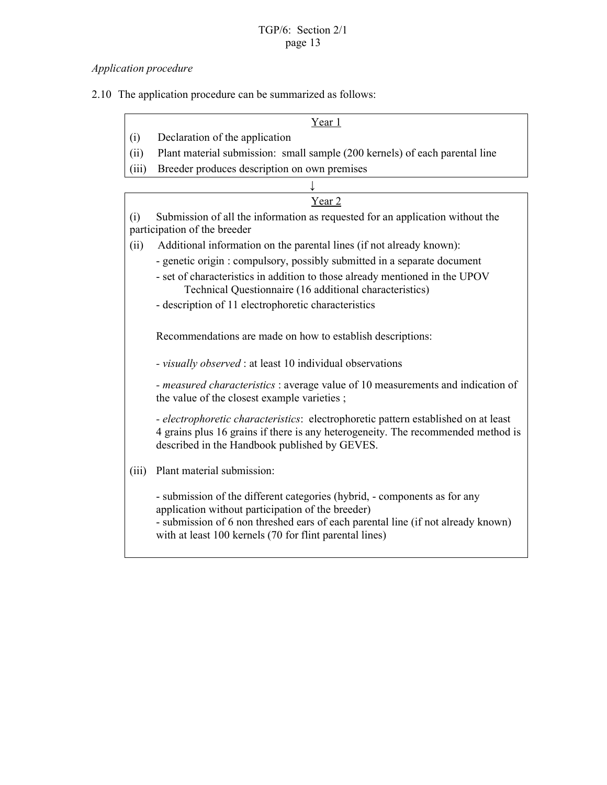## *Application procedure*

2.10 The application procedure can be summarized as follows:

Year 1

- (i) Declaration of the application
- (ii) Plant material submission: small sample (200 kernels) of each parental line
- (iii) Breeder produces description on own premises

|       | Year 2                                                                                                                                                                                                                                                                        |
|-------|-------------------------------------------------------------------------------------------------------------------------------------------------------------------------------------------------------------------------------------------------------------------------------|
| (i)   | Submission of all the information as requested for an application without the<br>participation of the breeder                                                                                                                                                                 |
| (ii)  | Additional information on the parental lines (if not already known):                                                                                                                                                                                                          |
|       | - genetic origin: compulsory, possibly submitted in a separate document                                                                                                                                                                                                       |
|       | - set of characteristics in addition to those already mentioned in the UPOV<br>Technical Questionnaire (16 additional characteristics)                                                                                                                                        |
|       | - description of 11 electrophoretic characteristics                                                                                                                                                                                                                           |
|       |                                                                                                                                                                                                                                                                               |
|       | Recommendations are made on how to establish descriptions:                                                                                                                                                                                                                    |
|       | - visually observed : at least 10 individual observations                                                                                                                                                                                                                     |
|       | - measured characteristics : average value of 10 measurements and indication of<br>the value of the closest example varieties;                                                                                                                                                |
|       | - electrophoretic characteristics: electrophoretic pattern established on at least<br>4 grains plus 16 grains if there is any heterogeneity. The recommended method is<br>described in the Handbook published by GEVES.                                                       |
| (iii) | Plant material submission:                                                                                                                                                                                                                                                    |
|       | - submission of the different categories (hybrid, - components as for any<br>application without participation of the breeder)<br>- submission of 6 non threshed ears of each parental line (if not already known)<br>with at least 100 kernels (70 for flint parental lines) |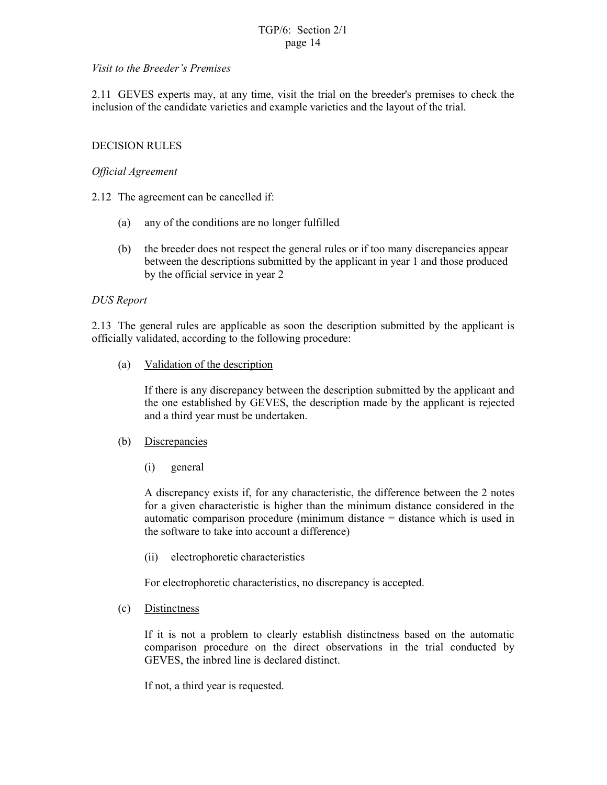#### *Visit to the Breeder's Premises*

2.11 GEVES experts may, at any time, visit the trial on the breeder's premises to check the inclusion of the candidate varieties and example varieties and the layout of the trial.

#### DECISION RULES

#### *Official Agreement*

- 2.12 The agreement can be cancelled if:
	- (a) any of the conditions are no longer fulfilled
	- (b) the breeder does not respect the general rules or if too many discrepancies appear between the descriptions submitted by the applicant in year 1 and those produced by the official service in year 2

#### *DUS Report*

2.13 The general rules are applicable as soon the description submitted by the applicant is officially validated, according to the following procedure:

(a) Validation of the description

If there is any discrepancy between the description submitted by the applicant and the one established by GEVES, the description made by the applicant is rejected and a third year must be undertaken.

- (b) Discrepancies
	- (i) general

A discrepancy exists if, for any characteristic, the difference between the 2 notes for a given characteristic is higher than the minimum distance considered in the automatic comparison procedure (minimum distance = distance which is used in the software to take into account a difference)

(ii) electrophoretic characteristics

For electrophoretic characteristics, no discrepancy is accepted.

(c) Distinctness

If it is not a problem to clearly establish distinctness based on the automatic comparison procedure on the direct observations in the trial conducted by GEVES, the inbred line is declared distinct.

If not, a third year is requested.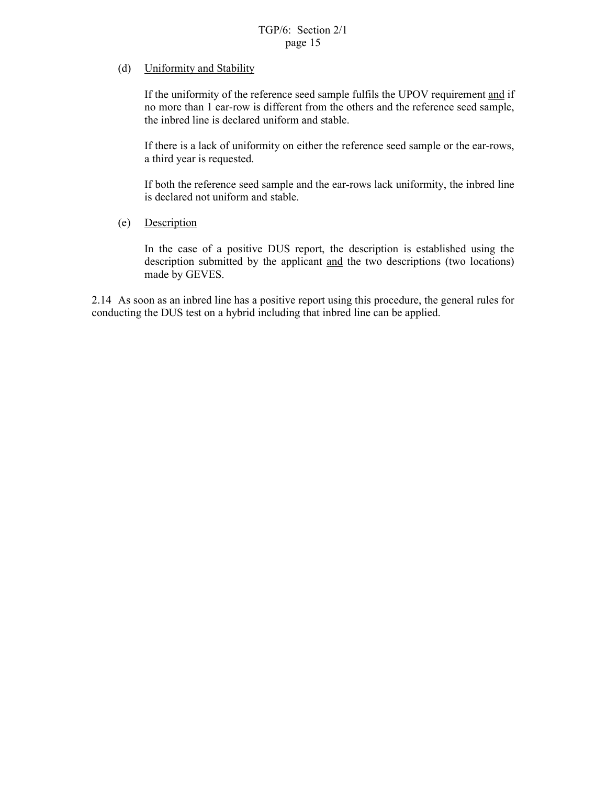### (d) Uniformity and Stability

If the uniformity of the reference seed sample fulfils the UPOV requirement and if no more than 1 ear-row is different from the others and the reference seed sample, the inbred line is declared uniform and stable.

If there is a lack of uniformity on either the reference seed sample or the ear-rows, a third year is requested.

If both the reference seed sample and the ear-rows lack uniformity, the inbred line is declared not uniform and stable.

#### (e) Description

In the case of a positive DUS report, the description is established using the description submitted by the applicant and the two descriptions (two locations) made by GEVES.

2.14 As soon as an inbred line has a positive report using this procedure, the general rules for conducting the DUS test on a hybrid including that inbred line can be applied.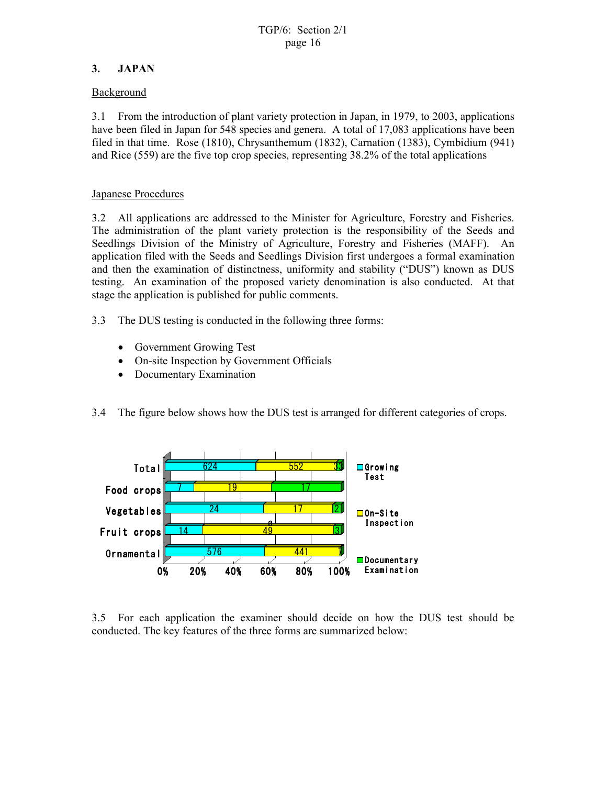## **3. JAPAN**

### Background

3.1 From the introduction of plant variety protection in Japan, in 1979, to 2003, applications have been filed in Japan for 548 species and genera. A total of 17,083 applications have been filed in that time. Rose (1810), Chrysanthemum (1832), Carnation (1383), Cymbidium (941) and Rice (559) are the five top crop species, representing 38.2% of the total applications

### Japanese Procedures

3.2 All applications are addressed to the Minister for Agriculture, Forestry and Fisheries. The administration of the plant variety protection is the responsibility of the Seeds and Seedlings Division of the Ministry of Agriculture, Forestry and Fisheries (MAFF). An application filed with the Seeds and Seedlings Division first undergoes a formal examination and then the examination of distinctness, uniformity and stability ("DUS") known as DUS testing. An examination of the proposed variety denomination is also conducted. At that stage the application is published for public comments.

- 3.3 The DUS testing is conducted in the following three forms:
	- Government Growing Test
	- On-site Inspection by Government Officials
	- Documentary Examination
- 3.4 The figure below shows how the DUS test is arranged for different categories of crops.



3.5 For each application the examiner should decide on how the DUS test should be conducted. The key features of the three forms are summarized below: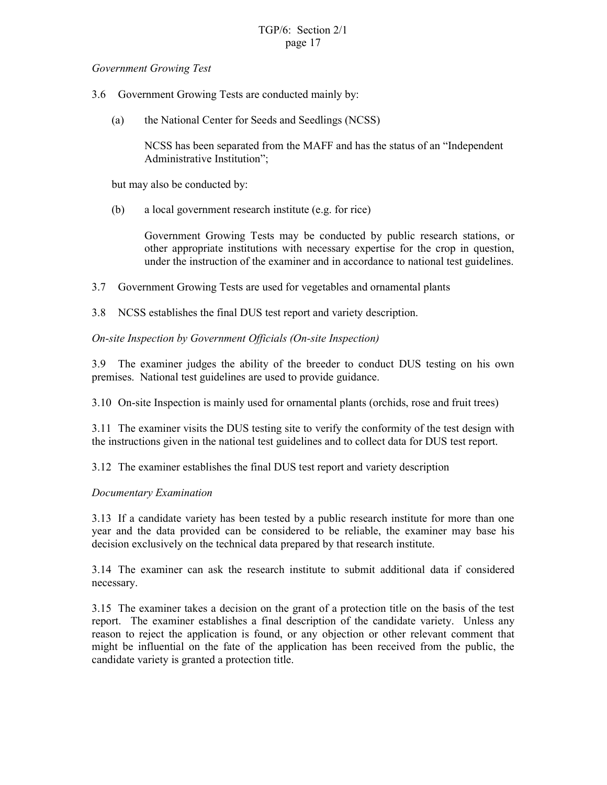#### *Government Growing Test*

- 3.6 Government Growing Tests are conducted mainly by:
	- (a) the National Center for Seeds and Seedlings (NCSS)

NCSS has been separated from the MAFF and has the status of an "Independent Administrative Institution";

but may also be conducted by:

(b) a local government research institute (e.g. for rice)

Government Growing Tests may be conducted by public research stations, or other appropriate institutions with necessary expertise for the crop in question, under the instruction of the examiner and in accordance to national test guidelines.

- 3.7 Government Growing Tests are used for vegetables and ornamental plants
- 3.8 NCSS establishes the final DUS test report and variety description.

#### *On-site Inspection by Government Officials (On-site Inspection)*

3.9 The examiner judges the ability of the breeder to conduct DUS testing on his own premises. National test guidelines are used to provide guidance.

3.10 On-site Inspection is mainly used for ornamental plants (orchids, rose and fruit trees)

3.11 The examiner visits the DUS testing site to verify the conformity of the test design with the instructions given in the national test guidelines and to collect data for DUS test report.

3.12 The examiner establishes the final DUS test report and variety description

#### *Documentary Examination*

3.13 If a candidate variety has been tested by a public research institute for more than one year and the data provided can be considered to be reliable, the examiner may base his decision exclusively on the technical data prepared by that research institute.

3.14 The examiner can ask the research institute to submit additional data if considered necessary.

3.15 The examiner takes a decision on the grant of a protection title on the basis of the test report. The examiner establishes a final description of the candidate variety. Unless any reason to reject the application is found, or any objection or other relevant comment that might be influential on the fate of the application has been received from the public, the candidate variety is granted a protection title.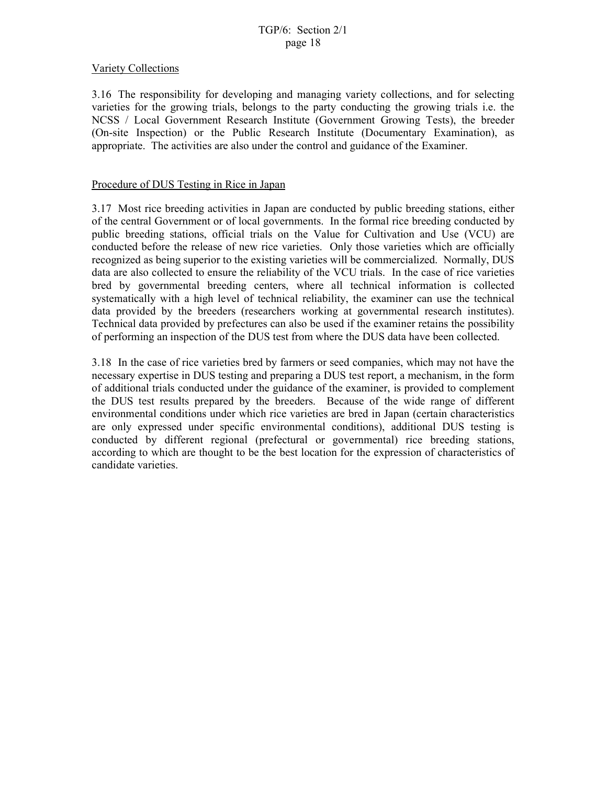#### Variety Collections

3.16 The responsibility for developing and managing variety collections, and for selecting varieties for the growing trials, belongs to the party conducting the growing trials i.e. the NCSS / Local Government Research Institute (Government Growing Tests), the breeder (On-site Inspection) or the Public Research Institute (Documentary Examination), as appropriate. The activities are also under the control and guidance of the Examiner.

#### Procedure of DUS Testing in Rice in Japan

3.17 Most rice breeding activities in Japan are conducted by public breeding stations, either of the central Government or of local governments. In the formal rice breeding conducted by public breeding stations, official trials on the Value for Cultivation and Use (VCU) are conducted before the release of new rice varieties. Only those varieties which are officially recognized as being superior to the existing varieties will be commercialized. Normally, DUS data are also collected to ensure the reliability of the VCU trials. In the case of rice varieties bred by governmental breeding centers, where all technical information is collected systematically with a high level of technical reliability, the examiner can use the technical data provided by the breeders (researchers working at governmental research institutes). Technical data provided by prefectures can also be used if the examiner retains the possibility of performing an inspection of the DUS test from where the DUS data have been collected.

3.18 In the case of rice varieties bred by farmers or seed companies, which may not have the necessary expertise in DUS testing and preparing a DUS test report, a mechanism, in the form of additional trials conducted under the guidance of the examiner, is provided to complement the DUS test results prepared by the breeders. Because of the wide range of different environmental conditions under which rice varieties are bred in Japan (certain characteristics are only expressed under specific environmental conditions), additional DUS testing is conducted by different regional (prefectural or governmental) rice breeding stations, according to which are thought to be the best location for the expression of characteristics of candidate varieties.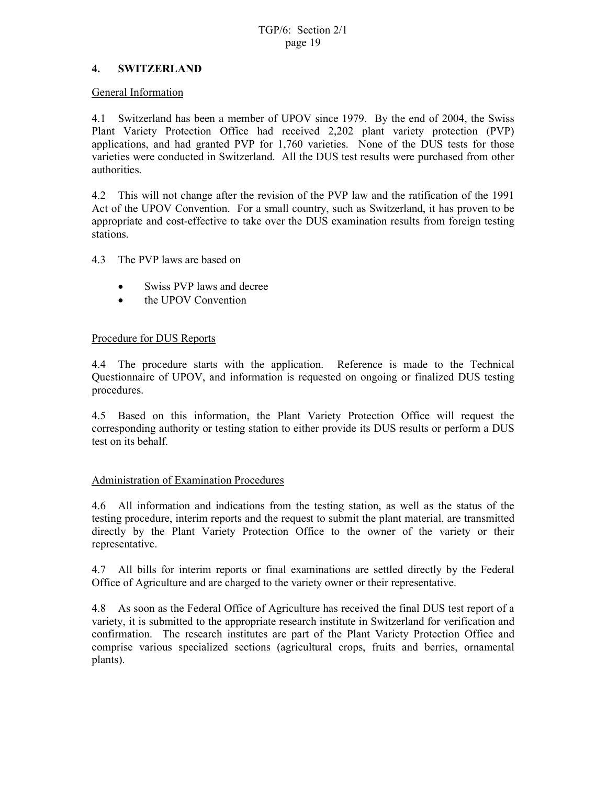### **4. SWITZERLAND**

#### General Information

4.1 Switzerland has been a member of UPOV since 1979. By the end of 2004, the Swiss Plant Variety Protection Office had received 2,202 plant variety protection (PVP) applications, and had granted PVP for 1,760 varieties. None of the DUS tests for those varieties were conducted in Switzerland. All the DUS test results were purchased from other authorities.

4.2 This will not change after the revision of the PVP law and the ratification of the 1991 Act of the UPOV Convention. For a small country, such as Switzerland, it has proven to be appropriate and cost-effective to take over the DUS examination results from foreign testing stations.

4.3 The PVP laws are based on

- Swiss PVP laws and decree
- the UPOV Convention

### Procedure for DUS Reports

4.4 The procedure starts with the application. Reference is made to the Technical Questionnaire of UPOV, and information is requested on ongoing or finalized DUS testing procedures.

4.5 Based on this information, the Plant Variety Protection Office will request the corresponding authority or testing station to either provide its DUS results or perform a DUS test on its behalf.

#### Administration of Examination Procedures

4.6 All information and indications from the testing station, as well as the status of the testing procedure, interim reports and the request to submit the plant material, are transmitted directly by the Plant Variety Protection Office to the owner of the variety or their representative.

4.7 All bills for interim reports or final examinations are settled directly by the Federal Office of Agriculture and are charged to the variety owner or their representative.

4.8 As soon as the Federal Office of Agriculture has received the final DUS test report of a variety, it is submitted to the appropriate research institute in Switzerland for verification and confirmation. The research institutes are part of the Plant Variety Protection Office and comprise various specialized sections (agricultural crops, fruits and berries, ornamental plants).